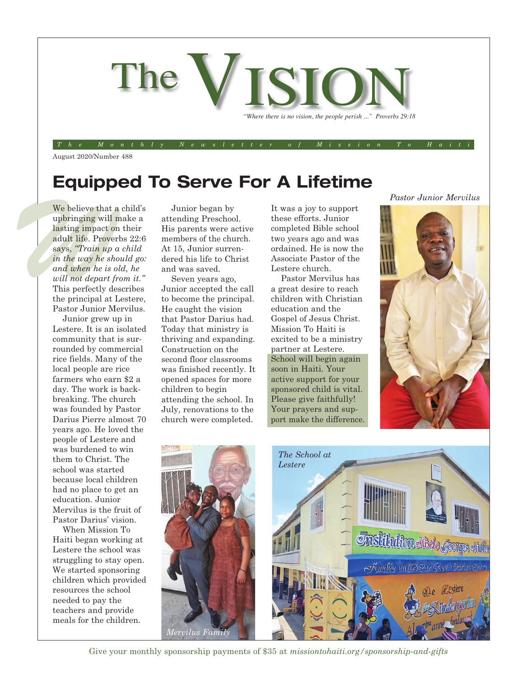

August 2020/Number 488

## **Equipped To Serve For A Lifetime**

We believe that a upbringing will m<br>lasting impact on<br>adult life. Proverly<br>says, "*Train up a*<br>in the way he sho<br>and when he is ol<br>will not denot fr We believe that a child's upbringing will make a lasting impact on their adult life. Proverbs 22:6 says, *"Train up a child in the way he should go: and when he is old, he will not depart from it."* This perfectly describes the principal at Lestere, Pastor Junior Mervilus.

> Junior grew up in Lestere. It is an isolated community that is surrounded by commercial rice fields. Many of the local people are rice farmers who earn \$2 a day. The work is backbreaking. The church was founded by Pastor Darius Pierre almost 70 years ago. He loved the people of Lestere and was burdened to win them to Christ. The school was started because local children had no place to get an education. Junior Mervilus is the fruit of Pastor Darius' vision.

> When Mission To Haiti began working at Lestere the school was struggling to stay open. We started sponsoring children which provided resources the school needed to pay the teachers and provide meals for the children.

Junior began by attending Preschool. His parents were active members of the church. At 15, Junior surrendered his life to Christ and was saved.

Seven years ago, Junior accepted the call to become the principal. He caught the vision that Pastor Darius had. Today that ministry is thriving and expanding. Construction on the second floor classrooms was finished recently. It opened spaces for more children to begin attending the school. In July, renovations to the church were completed.

It was a joy to support these efforts. Junior completed Bible school two years ago and was ordained. He is now the Associate Pastor of the Lestere church.

Pastor Mervilus has a great desire to reach children with Christian education and the Gospel of Jesus Christ. Mission To Haiti is excited to be a ministry partner at Lestere. School will begin again soon in Haiti. Your active support for your sponsored child is vital. Please give faithfully! Your prayers and support make the difference. *Pastor Junior Mervilus*





Give your monthly sponsorship payments of \$35 at *missiontohaiti.org/sponsorship-and-gifts*